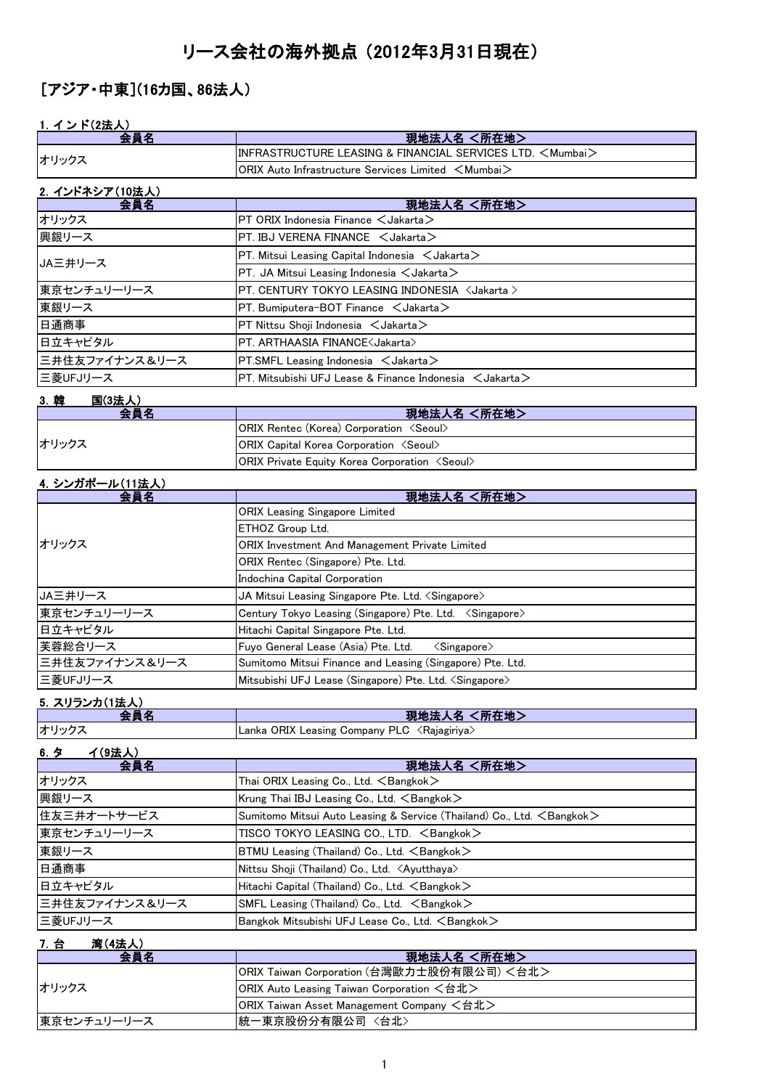# リース会社の海外拠点 (2012年3月31日現在)

## [アジア・中東](16カ国、86法人)

## 1.イ ン ド(2法人)

| <u>1. インド(2法人)</u><br>会員名 | 現地法人名 <所在地>                                                          |
|---------------------------|----------------------------------------------------------------------|
|                           | INFRASTRUCTURE LEASING & FINANCIAL SERVICES LTD. <mumbai></mumbai>   |
| オリックス                     |                                                                      |
|                           | ORIX Auto Infrastructure Services Limited ∠Mumbai>                   |
| 2. インドネシア(10法人)           |                                                                      |
| 会員名                       | 現地法人名 <所在地>                                                          |
| オリックス                     | PT ORIX Indonesia Finance <jakarta></jakarta>                        |
| 興銀リース                     | PT. IBJ VERENA FINANCE < Jakarta>                                    |
| JA三井リース                   | PT. Mitsui Leasing Capital Indonesia < Jakarta>                      |
|                           | PT. JA Mitsui Leasing Indonesia $\lt$ Jakarta $>$                    |
| 東京センチュリーリース               | PT. CENTURY TOKYO LEASING INDONESIA <jakarta></jakarta>              |
| 東銀リース                     | PT. Bumiputera-BOT Finance < Jakarta>                                |
| 日通商事                      | PT Nittsu Shoji Indonesia <jakarta></jakarta>                        |
| 日立キャピタル                   | PT. ARTHAASIA FINANCE <jakarta></jakarta>                            |
| 三井住友ファイナンス&リース            | PT.SMFL Leasing Indonesia < Jakarta>                                 |
| 三菱UFJリース                  | PT. Mitsubishi UFJ Lease & Finance Indonesia $\,$ $\,$ Jakarta $\,$  |
| 3. 韓<br><b>国(3法人)</b>     |                                                                      |
| 会員名                       | 現地法人名 <所在地>                                                          |
|                           | ORIX Rentec (Korea) Corporation <seoul></seoul>                      |
| オリックス                     | ORIX Capital Korea Corporation <seoul></seoul>                       |
|                           | ORIX Private Equity Korea Corporation <seoul></seoul>                |
| <u>4. シンガポール(11法人)</u>    |                                                                      |
| 会員名                       | 現地法人名 <所在地>                                                          |
|                           | <b>ORIX Leasing Singapore Limited</b>                                |
|                           | ETHOZ Group Ltd.                                                     |
| オリックス                     | ORIX Investment And Management Private Limited                       |
|                           | ORIX Rentec (Singapore) Pte. Ltd.                                    |
|                           | Indochina Capital Corporation                                        |
| JA三井リース                   | JA Mitsui Leasing Singapore Pte. Ltd. <singapore></singapore>        |
| 東京センチュリーリース               | Century Tokyo Leasing (Singapore) Pte. Ltd. < Singapore>             |
| 日立キャピタル                   | Hitachi Capital Singapore Pte. Ltd.                                  |
| 芙蓉総合リース                   | Fuyo General Lease (Asia) Pte. Ltd.<br>$\langle$ Singapore $\rangle$ |
| 三井住友ファイナンス&リース            | Sumitomo Mitsui Finance and Leasing (Singapore) Pte. Ltd.            |
| 三菱UFJリース                  | Mitsubishi UFJ Lease (Singapore) Pte. Ltd. <singapore></singapore>   |
| <u>5. スリランカ(1法人)</u>      |                                                                      |
| 会員名                       | 現地法人名 <所在地>                                                          |
| オリックス                     | Lanka ORIX Leasing Company PLC <rajagiriya></rajagiriya>             |

### 6.タ イ(9法人)

| . .-.----<br>会員名 | 現地法人名 <所在地>                                                                     |
|------------------|---------------------------------------------------------------------------------|
| オリックス            | Thai ORIX Leasing Co., Ltd. $\leq$ Bangkok $>$                                  |
| 興銀リース            | Krung Thai IBJ Leasing Co., Ltd. $\leq$ Bangkok $>$                             |
| 住友三井オートサービス      | Sumitomo Mitsui Auto Leasing & Service (Thailand) Co., Ltd. <bangkok></bangkok> |
| 東京センチュリーリース      | TISCO TOKYO LEASING CO., LTD. <bangkok></bangkok>                               |
| 東銀リース            | $BTMU$ Leasing (Thailand) Co., Ltd. $\leq$ Bangkok $\geq$                       |
| 日通商事             | Nittsu Shoji (Thailand) Co., Ltd. <ayutthaya></ayutthaya>                       |
| 日立キャピタル          | Hitachi Capital (Thailand) Co., Ltd. <bangkok></bangkok>                        |
| 三井住友ファイナンス&リース   | SMFL Leasing (Thailand) Co., Ltd. <bangkok></bangkok>                           |
| 三菱UFJリース         | Bangkok Mitsubishi UFJ Lease Co., Ltd. <bangkok></bangkok>                      |

## 7.台 湾(4法人)

| 会員名         | 現地法人名 <所在地>                                |
|-------------|--------------------------------------------|
| オリックス       | ORIX Taiwan Corporation (台灣歐力士股份有限公司) <台北> |
|             | ORIX Auto Leasing Taiwan Corporation <台北>  |
|             | ORIX Taiwan Asset Management Company <台北>  |
| 東京センチュリーリース | 統一東京股份分有限公司〈台北〉                            |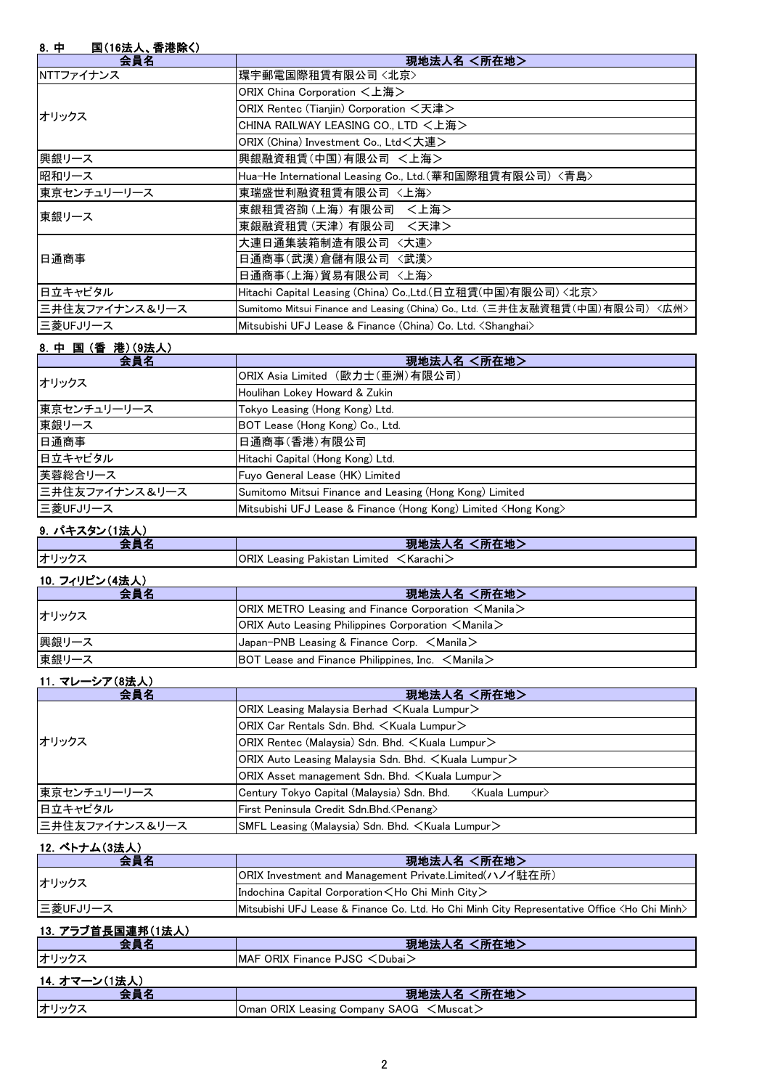### 8.中 国(16法人、香港除く)

| יד.<br>■ いいぬ 八、 ■ / 6   怀 ヽノ<br>会員名 | 現地法人名 <所在地>                                                                   |
|-------------------------------------|-------------------------------------------------------------------------------|
| NTTファイナンス                           | 環宇郵電国際租賃有限公司〈北京〉                                                              |
|                                     | ORIX China Corporation <上海>                                                   |
| オリックス                               | ORIX Rentec (Tianjin) Corporation <天津>                                        |
|                                     | CHINA RAILWAY LEASING CO., LTD <上海>                                           |
|                                     | ORIX (China) Investment Co., Ltd<大連>                                          |
| 興銀リース                               | 興銀融資租賃(中国)有限公司 <上海>                                                           |
| 昭和リース                               | Hua-He International Leasing Co., Ltd. (華和国際租賃有限公司) <青島>                      |
| 東京センチュリーリース                         | 東瑞盛世利融資租賃有限公司 <上海>                                                            |
| 東銀リース                               | 東銀租賃咨詢 (上海) 有限公司<br><上海>                                                      |
|                                     | 東銀融資租賃 (天津) 有限公司 <天津>                                                         |
| 日通商事                                | 大連日通集装箱制造有限公司〈大連〉                                                             |
|                                     | 日通商事(武漢)倉儲有限公司 〈武漢〉                                                           |
|                                     | 日通商事(上海)貿易有限公司 <上海>                                                           |
| 日立キャピタル                             | Hitachi Capital Leasing (China) Co.,Ltd.(日立租賃(中国)有限公司) <北京>                   |
| 三井住友ファイナンス&リース                      | Sumitomo Mitsui Finance and Leasing (China) Co., Ltd. (三井住友融資租賃(中国)有限公司) <広州> |
| 三菱UFJリース                            | Mitsubishi UFJ Lease & Finance (China) Co. Ltd. <shanghai></shanghai>         |

#### 8.中 国 (香 港)(9法人)

| 会員名            | 現地法人名 <所在地>                                                              |
|----------------|--------------------------------------------------------------------------|
| オリックス          | ORIX Asia Limited (歐力士(亜洲)有限公司)                                          |
|                | Houlihan Lokey Howard & Zukin                                            |
| 東京センチュリーリース    | Tokyo Leasing (Hong Kong) Ltd.                                           |
| 東銀リース          | BOT Lease (Hong Kong) Co., Ltd.                                          |
| 日通商事           | 日通商事(香港)有限公司                                                             |
| 日立キャピタル        | Hitachi Capital (Hong Kong) Ltd.                                         |
| 芙蓉総合リース        | Fuyo General Lease (HK) Limited                                          |
| 三井住友ファイナンス&リース | Sumitomo Mitsui Finance and Leasing (Hong Kong) Limited                  |
| 三菱UFJリース       | Mitsubishi UFJ Lease & Finance (Hong Kong) Limited <hong kong=""></hong> |

### 9. パキスタン(1法人)

|                                                                | 〔所在地〕<br>現地法<br>- 23                                                   |
|----------------------------------------------------------------|------------------------------------------------------------------------|
| オリックス                                                          | <b>ORIX Leasing Pakistan Limited</b><br>' <karachi<sub>/</karachi<sub> |
| $\cdots$ $\cdots$ $\cdots$ $\cdots$ $\cdots$ $\cdots$ $\cdots$ |                                                                        |

#### <u>10. フィリピン(4法人)</u>

| 会員名   | 現地法人名 <所在地>                                                                                  |
|-------|----------------------------------------------------------------------------------------------|
| オリックス | <b>ORIX METRO Leasing and Finance Corporation <math>\leq</math> Manila <math>\geq</math></b> |
|       | $ ORIX$ Auto Leasing Philippines Corporation $\leq$ Manila $\geq$                            |
| 興銀リース | Japan-PNB Leasing & Finance Corp. <manila></manila>                                          |
| 東銀リース | BOT Lease and Finance Philippines, Inc. $\leq$ Manila $\geq$                                 |

#### 11.マレーシア(8法人)

| 会員名            | 現地法人名 <所在地>                                                      |
|----------------|------------------------------------------------------------------|
| オリックス          | $ ORIX$ Leasing Malaysia Berhad $\lt$ Kuala Lumpur $\gt$         |
|                | ORIX Car Rentals Sdn. Bhd. <kuala lumpur=""></kuala>             |
|                | ORIX Rentec (Malaysia) Sdn. Bhd. < Kuala Lumpur>                 |
|                | $ ORIX$ Auto Leasing Malaysia Sdn. Bhd. $\lt$ Kuala Lumpur $\gt$ |
|                | ORIX Asset management Sdn. Bhd. $\lt$ Kuala Lumpur $\gt$         |
| 東京センチュリーリース    | Century Tokyo Capital (Malaysia) Sdn. Bhd.<br>Kuala Lumpur>      |
| 日立キャピタル        | First Peninsula Credit Sdn.Bhd. < Penang>                        |
| 三井住友ファイナンス&リース | SMFL Leasing (Malaysia) Sdn. Bhd. $\lt$ Kuala Lumpur $\gt$       |

#### 12. ベトナム(3法人)

| 会員名               | 現地法人名 <所在地>                                                                                                         |
|-------------------|---------------------------------------------------------------------------------------------------------------------|
| オリックス             | ORIX Investment and Management Private.Limited(ハノイ駐在所)                                                              |
|                   | Indochina Capital Corporation $\lt$ Ho Chi Minh City $\gt$                                                          |
| 三菱UFJリース          | <b>IMitsubishi UFJ Lease &amp; Finance Co. Ltd. Ho Chi Minh City Representative Office <ho chi="" minh=""></ho></b> |
| 13. アラブ首長国連邦(1法人) |                                                                                                                     |

#### **会員名 インファン しょうしょう しょうしょう りょう 現地法人名 <所在地>** オリックス MAF ORIX Finance PJSC <Dubai> 14.オマーン(1法人) 現地法人名 <所在地> オリックス Oman ORIX Leasing Company SAOG <Muscat>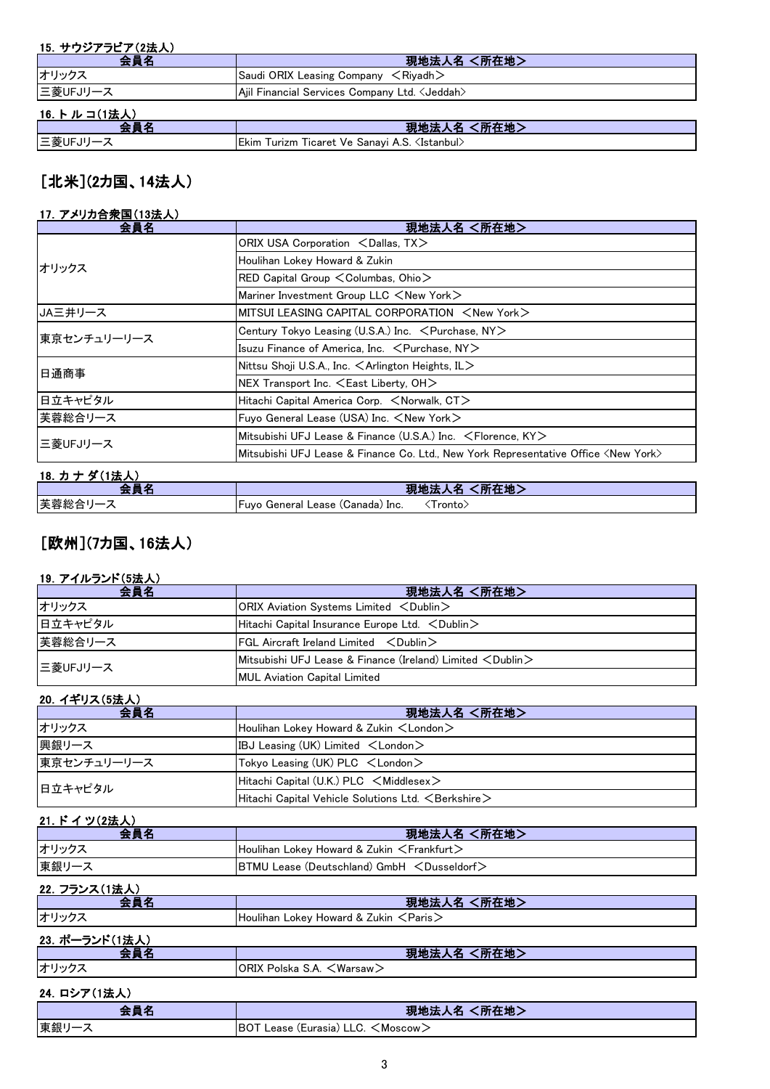#### 15.サウジアラビア(2法人)

| 会員名          | 現地法人名 <所在地>                                              |
|--------------|----------------------------------------------------------|
| オリックス        | Saudi ORIX Leasing Company $\leq$ Riyadh $\geq$          |
| ニ菱UFJリース     | Ajil Financial Services Company Ltd. < Jeddah>           |
| 16. トルコ(1法人) |                                                          |
| 会昌名          | 現地法人名 <所在地>                                              |
| ニ菱UFJリース     | Ekim Turizm Ticaret Ve Sanayi A.S. <istanbul></istanbul> |

## [北米](2カ国、14法人)

### 17.アメリカ合衆国(13法人)

| 会員名          | 現地法人名 <所在地>                                                                                 |
|--------------|---------------------------------------------------------------------------------------------|
| オリックス        | ORIX USA Corporation <dallas, tx=""></dallas,>                                              |
|              | Houlihan Lokey Howard & Zukin                                                               |
|              | $RED$ Capital Group $\leq$ Columbas, Ohio $>$                                               |
|              | Mariner Investment Group LLC <new york=""></new>                                            |
| JA三井リース      | MITSUI LEASING CAPITAL CORPORATION $\leq$ New York $\geq$                                   |
| 東京センチュリーリース  | Century Tokyo Leasing (U.S.A.) Inc. $\leq$ Purchase, NY $\geq$                              |
|              | Isuzu Finance of America, Inc. $\leq$ Purchase, NY $\geq$                                   |
| 日通商事         | Nittsu Shoji U.S.A., Inc. $\leq$ Arlington Heights, IL $>$                                  |
|              | $NEX$ Transport Inc. $\leq$ East Liberty, OH $>$                                            |
| 日立キャピタル      | Hitachi Capital America Corp. <norwalk, ct=""></norwalk,>                                   |
| 芙蓉総合リース      | Fuyo General Lease (USA) Inc. <new york=""></new>                                           |
| 三菱UFJリース     | Mitsubishi UFJ Lease & Finance (U.S.A.) Inc. <florence, ky=""></florence,>                  |
|              | Mitsubishi UFJ Lease & Finance Co. Ltd., New York Representative Office <new york=""></new> |
| 18. カナダ(1法人) |                                                                                             |

| الأفراد الم<br>"叶牛地!"<br>現地                                         | .<br>$\cdots$ |  |
|---------------------------------------------------------------------|---------------|--|
|                                                                     |               |  |
| 芙蓉総合<br>(Canada)<br>l ronto,<br>IFuvo<br>General<br>∟ease ′<br>.Inc |               |  |

### [欧州](7カ国、16法人)

### 19.アイルランド(5法人)

| 会員名      | 現地法人名 <所在地>                                                                 |
|----------|-----------------------------------------------------------------------------|
| オリックス    | $ ORIX$ Aviation Systems Limited $\langle$ Dublin $\rangle$                 |
| 日立キャピタル  | Hitachi Capital Insurance Europe Ltd. $\lt$ Dublin $\gt$                    |
| 芙蓉総合リース  | $FGL$ Aircraft Ireland Limited $\langle$ Dublin $\rangle$                   |
| 三菱UFJリース | Mitsubishi UFJ Lease & Finance (Ireland) Limited $\langle$ Dublin $\rangle$ |
|          | <b>MUL Aviation Capital Limited</b>                                         |

#### 20.イギリス(5法人)

| 会員名         | 現地法人名 <所在地>                                                    |
|-------------|----------------------------------------------------------------|
| オリックス       | Houlihan Lokey Howard & Zukin $\lt$ London $\gt$               |
| 興銀リース       | IBJ Leasing (UK) Limited $\lt$ London $\gt$                    |
| 東京センチュリーリース | Tokyo Leasing (UK) PLC <london></london>                       |
| 日立キャピタル     | Hitachi Capital (U.K.) PLC $\leq$ Middlesex $>$                |
|             | Hitachi Capital Vehicle Solutions Ltd. $\leq$ Berkshire $\geq$ |

| 21. ドイツ(2法人) |                                                         |
|--------------|---------------------------------------------------------|
|              | 現地法人名 <所在地>                                             |
| オリックス        | Houlihan Lokey Howard & Zukin $\leq$ Frankfurt $\geq$   |
| 東銀リース        | BTMU Lease (Deutschland) GmbH <dusseldorf></dusseldorf> |
| .            |                                                         |

#### 22. フランス(1法人) 会員名 現地法人名 <所在地> オリックス Houlihan Lokey Howard & Zukin <Paris> 23. ポーランド(1法人) **会員名 インファン マンファン しょうしょう 現地法人名 <所在地>** オリックス ORIX Polska S.A. <Warsaw>

### 24.ロシア(1法人)

| -   | 、所在地><br>--<br><b>AND 1999</b><br>ъ.                 |
|-----|------------------------------------------------------|
| Ⅰ宋邮 | LLC.<br>、Moscow <i>)</i><br>(Eurasia)<br>Lease<br>DU |